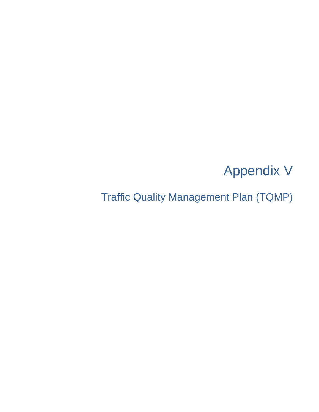## Appendix V

Traffic Quality Management Plan (TQMP)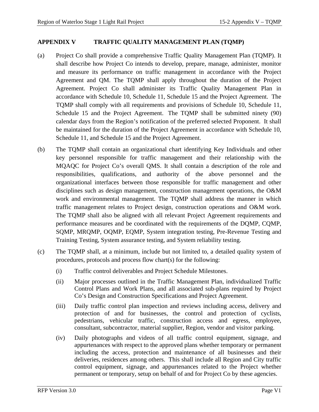## **APPENDIX V TRAFFIC QUALITY MANAGEMENT PLAN (TQMP)**

- (a) Project Co shall provide a comprehensive Traffic Quality Management Plan (TQMP). It shall describe how Project Co intends to develop, prepare, manage, administer, monitor and measure its performance on traffic management in accordance with the Project Agreement and QM. The TQMP shall apply throughout the duration of the Project Agreement. Project Co shall administer its Traffic Quality Management Plan in accordance with Schedule 10, Schedule 11, Schedule 15 and the Project Agreement. The TQMP shall comply with all requirements and provisions of Schedule 10, Schedule 11, Schedule 15 and the Project Agreement. The TQMP shall be submitted ninety (90) calendar days from the Region's notification of the preferred selected Proponent. It shall be maintained for the duration of the Project Agreement in accordance with Schedule 10, Schedule 11, and Schedule 15 and the Project Agreement.
- (b) The TQMP shall contain an organizational chart identifying Key Individuals and other key personnel responsible for traffic management and their relationship with the MQAQC for Project Co's overall QMS. It shall contain a description of the role and responsibilities, qualifications, and authority of the above personnel and the organizational interfaces between those responsible for traffic management and other disciplines such as design management, construction management operations, the O&M work and environmental management. The TQMP shall address the manner in which traffic management relates to Project design, construction operations and O&M work. The TQMP shall also be aligned with all relevant Project Agreement requirements and performance measures and be coordinated with the requirements of the DQMP, CQMP, SQMP, MRQMP, OQMP, EQMP, System integration testing, Pre-Revenue Testing and Training Testing, System assurance testing, and System reliability testing.
- (c) The TQMP shall, at a minimum, include but not limited to, a detailed quality system of procedures, protocols and process flow chart(s) for the following:
	- (i) Traffic control deliverables and Project Schedule Milestones.
	- (ii) Major processes outlined in the Traffic Management Plan, individualized Traffic Control Plans and Work Plans, and all associated sub-plans required by Project Co's Design and Construction Specifications and Project Agreement.
	- (iii) Daily traffic control plan inspection and reviews including access, delivery and protection of and for businesses, the control and protection of cyclists, pedestrians, vehicular traffic, construction access and egress, employee, consultant, subcontractor, material supplier, Region, vendor and visitor parking.
	- (iv) Daily photographs and videos of all traffic control equipment, signage, and appurtenances with respect to the approved plans whether temporary or permanent including the access, protection and maintenance of all businesses and their deliveries, residences among others. This shall include all Region and City traffic control equipment, signage, and appurtenances related to the Project whether permanent or temporary, setup on behalf of and for Project Co by these agencies.